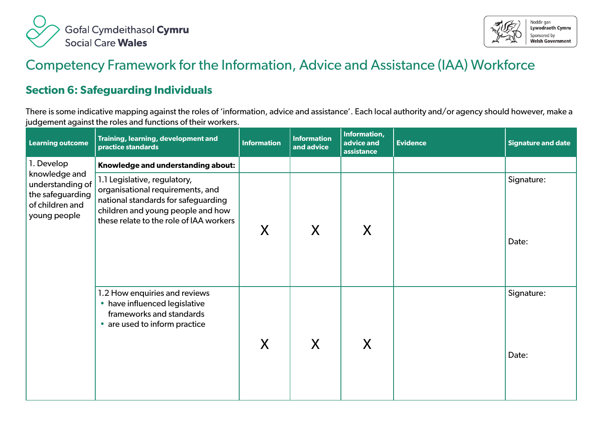



## Competency Framework for the Information, Advice and Assistance (IAA) Workforce

## **Section 6: Safeguarding Individuals**

There is some indicative mapping against the roles of 'information, advice and assistance'. Each local authority and/or agency should however, make a judgement against the roles and functions of their workers.

| <b>Learning outcome</b>                                                                  | Training, learning, development and<br>practice standards                                                                                                                               | <b>Information</b> | <b>Information</b><br>and advice | Information,<br>advice and<br>assistance | <b>Evidence</b> | <b>Signature and date</b> |
|------------------------------------------------------------------------------------------|-----------------------------------------------------------------------------------------------------------------------------------------------------------------------------------------|--------------------|----------------------------------|------------------------------------------|-----------------|---------------------------|
| 1. Develop                                                                               | Knowledge and understanding about:                                                                                                                                                      |                    |                                  |                                          |                 |                           |
| knowledge and<br>understanding of<br>the safeguarding<br>of children and<br>young people | 1.1 Legislative, regulatory,<br>organisational requirements, and<br>national standards for safeguarding<br>children and young people and how<br>these relate to the role of IAA workers | X                  | X                                | X                                        |                 | Signature:<br>Date:       |
|                                                                                          | 1.2 How enquiries and reviews<br>• have influenced legislative<br>frameworks and standards<br>• are used to inform practice                                                             | X                  | X                                | X                                        |                 | Signature:<br>Date:       |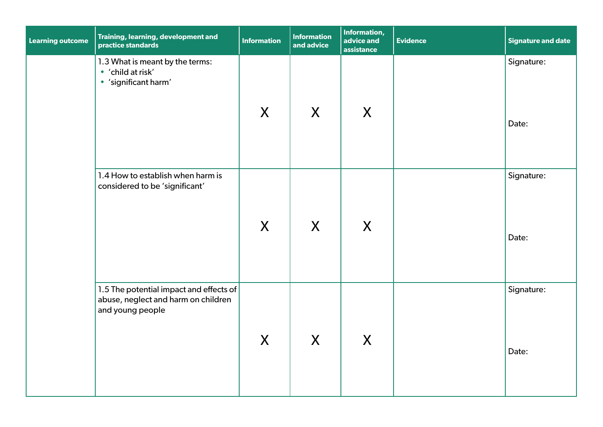| <b>Learning outcome</b> | Training, learning, development and<br>practice standards                                          | <b>Information</b> | <b>Information</b><br>and advice | Information,<br>advice and<br>assistance | <b>Evidence</b> | <b>Signature and date</b> |
|-------------------------|----------------------------------------------------------------------------------------------------|--------------------|----------------------------------|------------------------------------------|-----------------|---------------------------|
|                         | 1.3 What is meant by the terms:<br>• 'child at risk'<br>· 'significant harm'                       | X                  | X                                | X                                        |                 | Signature:<br>Date:       |
|                         | 1.4 How to establish when harm is<br>considered to be 'significant'                                | X                  | X                                | X                                        |                 | Signature:<br>Date:       |
|                         | 1.5 The potential impact and effects of<br>abuse, neglect and harm on children<br>and young people | X                  | X                                | X                                        |                 | Signature:<br>Date:       |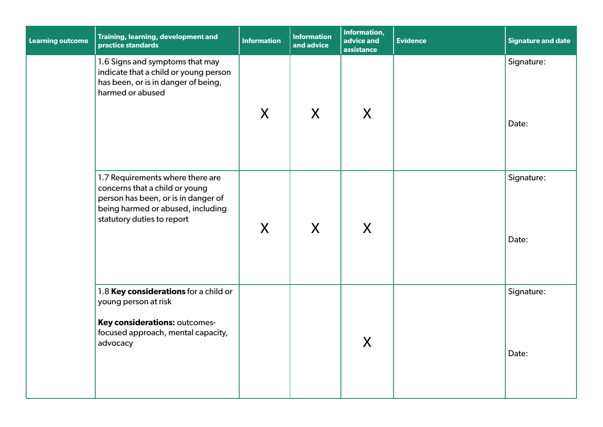| <b>Learning outcome</b> | Training, learning, development and<br>practice standards                                                                                                                    | <b>Information</b> | <b>Information</b><br>and advice | Information,<br>advice and<br>assistance | <b>Evidence</b> | <b>Signature and date</b> |
|-------------------------|------------------------------------------------------------------------------------------------------------------------------------------------------------------------------|--------------------|----------------------------------|------------------------------------------|-----------------|---------------------------|
|                         | 1.6 Signs and symptoms that may<br>indicate that a child or young person<br>has been, or is in danger of being,<br>harmed or abused                                          | X                  | X                                | X                                        |                 | Signature:<br>Date:       |
|                         | 1.7 Requirements where there are<br>concerns that a child or young<br>person has been, or is in danger of<br>being harmed or abused, including<br>statutory duties to report | X                  | X                                | X                                        |                 | Signature:<br>Date:       |
|                         | 1.8 Key considerations for a child or<br>young person at risk<br>Key considerations: outcomes-<br>focused approach, mental capacity,<br>advocacy                             |                    |                                  | X                                        |                 | Signature:<br>Date:       |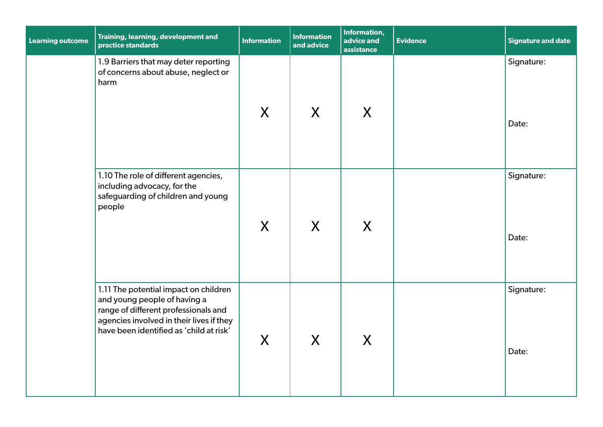| <b>Learning outcome</b> | Training, learning, development and<br>practice standards                                                                                                                                            | <b>Information</b> | <b>Information</b><br>and advice | <b>Information,</b><br>advice and<br>assistance | <b>Evidence</b> | <b>Signature and date</b> |
|-------------------------|------------------------------------------------------------------------------------------------------------------------------------------------------------------------------------------------------|--------------------|----------------------------------|-------------------------------------------------|-----------------|---------------------------|
|                         | 1.9 Barriers that may deter reporting<br>of concerns about abuse, neglect or<br>harm                                                                                                                 | X                  | X                                | X                                               |                 | Signature:<br>Date:       |
|                         | 1.10 The role of different agencies,<br>including advocacy, for the<br>safeguarding of children and young<br>people                                                                                  | $\sf X$            | $\mathsf{X}$                     | X                                               |                 | Signature:<br>Date:       |
|                         | 1.11 The potential impact on children<br>and young people of having a<br>range of different professionals and<br>agencies involved in their lives if they<br>have been identified as 'child at risk' | X                  | X                                | X                                               |                 | Signature:<br>Date:       |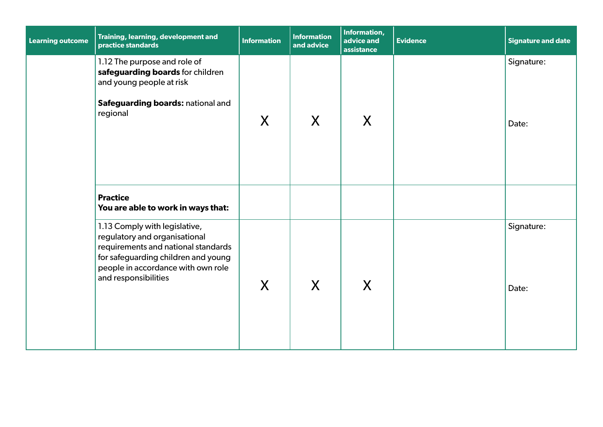| <b>Learning outcome</b> | Training, learning, development and<br>practice standards                                                                                                                                                  | <b>Information</b> | <b>Information</b><br>and advice | Information,<br>advice and<br>assistance | <b>Evidence</b> | Signature and date  |
|-------------------------|------------------------------------------------------------------------------------------------------------------------------------------------------------------------------------------------------------|--------------------|----------------------------------|------------------------------------------|-----------------|---------------------|
|                         | 1.12 The purpose and role of<br>safeguarding boards for children<br>and young people at risk<br>Safeguarding boards: national and<br>regional                                                              | X                  | X                                | X                                        |                 | Signature:<br>Date: |
|                         | <b>Practice</b><br>You are able to work in ways that:                                                                                                                                                      |                    |                                  |                                          |                 |                     |
|                         | 1.13 Comply with legislative,<br>regulatory and organisational<br>requirements and national standards<br>for safeguarding children and young<br>people in accordance with own role<br>and responsibilities | X                  | X                                | X                                        |                 | Signature:<br>Date: |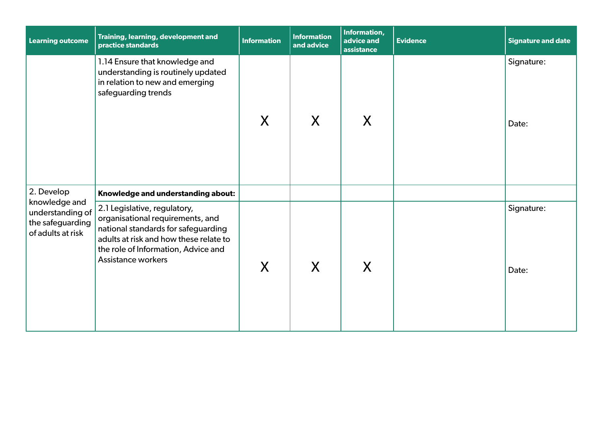| <b>Learning outcome</b>                                                    | Training, learning, development and<br>practice standards                                                                                                                                                             | <b>Information</b> | <b>Information</b><br>and advice | Information,<br>advice and<br>assistance | <b>Evidence</b> | <b>Signature and date</b> |
|----------------------------------------------------------------------------|-----------------------------------------------------------------------------------------------------------------------------------------------------------------------------------------------------------------------|--------------------|----------------------------------|------------------------------------------|-----------------|---------------------------|
|                                                                            | 1.14 Ensure that knowledge and<br>understanding is routinely updated<br>in relation to new and emerging<br>safeguarding trends                                                                                        | X                  | X                                | X                                        |                 | Signature:<br>Date:       |
| 2. Develop                                                                 | Knowledge and understanding about:                                                                                                                                                                                    |                    |                                  |                                          |                 |                           |
| knowledge and<br>understanding of<br>the safeguarding<br>of adults at risk | 2.1 Legislative, regulatory,<br>organisational requirements, and<br>national standards for safeguarding<br>adults at risk and how these relate to<br>the role of Information, Advice and<br><b>Assistance workers</b> | X                  | X                                | X                                        |                 | Signature:<br>Date:       |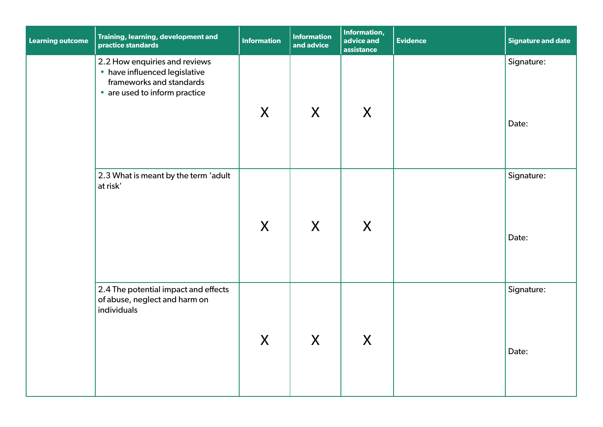| <b>Learning outcome</b> | Training, learning, development and<br>practice standards                                                                   | <b>Information</b> | <b>Information</b><br>and advice | Information,<br>advice and<br>assistance | <b>Evidence</b> | <b>Signature and date</b> |
|-------------------------|-----------------------------------------------------------------------------------------------------------------------------|--------------------|----------------------------------|------------------------------------------|-----------------|---------------------------|
|                         | 2.2 How enquiries and reviews<br>• have influenced legislative<br>frameworks and standards<br>• are used to inform practice | X                  | X                                | X                                        |                 | Signature:<br>Date:       |
|                         | 2.3 What is meant by the term 'adult<br>at risk'                                                                            | X                  | X                                | X                                        |                 | Signature:<br>Date:       |
|                         | 2.4 The potential impact and effects<br>of abuse, neglect and harm on<br>individuals                                        | X                  | X                                | X                                        |                 | Signature:<br>Date:       |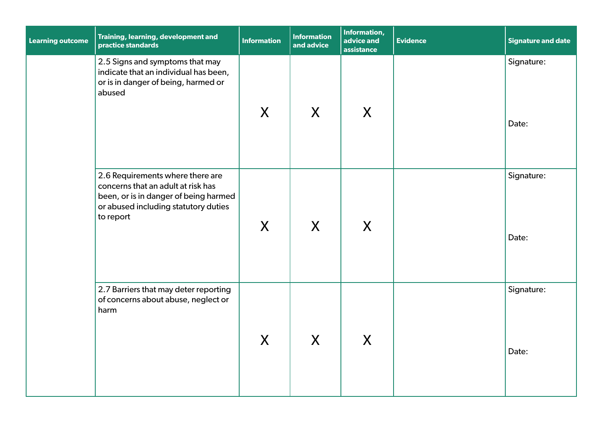| <b>Learning outcome</b> | Training, learning, development and<br>practice standards                                                                                                            | <b>Information</b> | <b>Information</b><br>and advice | Information,<br>advice and<br>assistance | <b>Evidence</b> | <b>Signature and date</b> |
|-------------------------|----------------------------------------------------------------------------------------------------------------------------------------------------------------------|--------------------|----------------------------------|------------------------------------------|-----------------|---------------------------|
|                         | 2.5 Signs and symptoms that may<br>indicate that an individual has been,<br>or is in danger of being, harmed or<br>abused                                            | $\mathsf{X}$       | X                                | X                                        |                 | Signature:<br>Date:       |
|                         | 2.6 Requirements where there are<br>concerns that an adult at risk has<br>been, or is in danger of being harmed<br>or abused including statutory duties<br>to report | $\mathsf{X}$       | X                                | X                                        |                 | Signature:<br>Date:       |
|                         | 2.7 Barriers that may deter reporting<br>of concerns about abuse, neglect or<br>harm                                                                                 | $\mathsf{X}$       | X                                | X                                        |                 | Signature:<br>Date:       |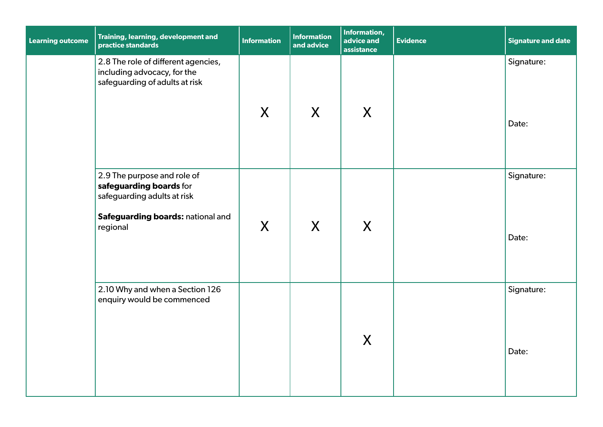| <b>Learning outcome</b> | Training, learning, development and<br>practice standards                                                                              | <b>Information</b> | <b>Information</b><br>and advice | Information,<br>advice and<br>assistance | <b>Evidence</b> | <b>Signature and date</b> |
|-------------------------|----------------------------------------------------------------------------------------------------------------------------------------|--------------------|----------------------------------|------------------------------------------|-----------------|---------------------------|
|                         | 2.8 The role of different agencies,<br>including advocacy, for the<br>safeguarding of adults at risk                                   | $\mathsf{X}$       | X                                | X                                        |                 | Signature:<br>Date:       |
|                         | 2.9 The purpose and role of<br>safeguarding boards for<br>safeguarding adults at risk<br>Safeguarding boards: national and<br>regional | X                  | X                                | X                                        |                 | Signature:<br>Date:       |
|                         | 2.10 Why and when a Section 126<br>enquiry would be commenced                                                                          |                    |                                  | X                                        |                 | Signature:<br>Date:       |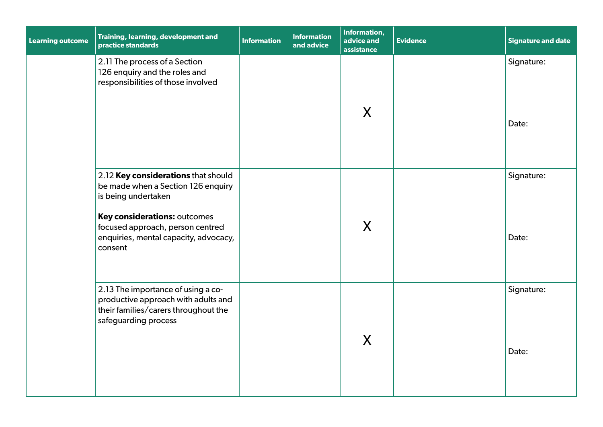| Learning outcome | Training, learning, development and<br>practice standards                                                                                                                                                                | <b>Information</b> | <b>Information</b><br>and advice | Information,<br>advice and<br>assistance | <b>Evidence</b> | <b>Signature and date</b> |
|------------------|--------------------------------------------------------------------------------------------------------------------------------------------------------------------------------------------------------------------------|--------------------|----------------------------------|------------------------------------------|-----------------|---------------------------|
|                  | 2.11 The process of a Section<br>126 enquiry and the roles and<br>responsibilities of those involved                                                                                                                     |                    |                                  | X                                        |                 | Signature:<br>Date:       |
|                  | 2.12 Key considerations that should<br>be made when a Section 126 enquiry<br>is being undertaken<br>Key considerations: outcomes<br>focused approach, person centred<br>enquiries, mental capacity, advocacy,<br>consent |                    |                                  | X                                        |                 | Signature:<br>Date:       |
|                  | 2.13 The importance of using a co-<br>productive approach with adults and<br>their families/carers throughout the<br>safeguarding process                                                                                |                    |                                  | X                                        |                 | Signature:<br>Date:       |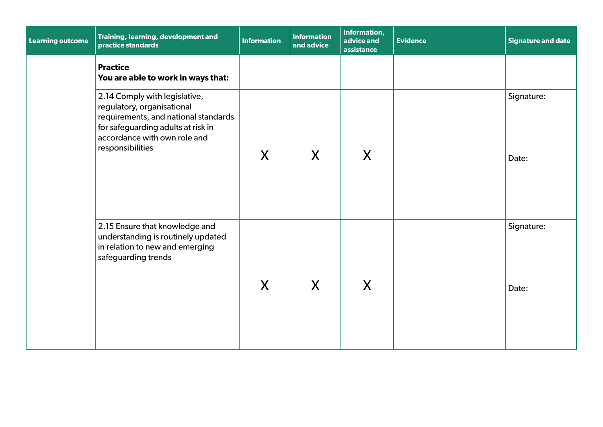| <b>Learning outcome</b> | Training, learning, development and<br>practice standards                                                                                                                                     | <b>Information</b> | <b>Information</b><br>and advice | Information,<br>advice and<br>assistance | <b>Evidence</b> | <b>Signature and date</b> |
|-------------------------|-----------------------------------------------------------------------------------------------------------------------------------------------------------------------------------------------|--------------------|----------------------------------|------------------------------------------|-----------------|---------------------------|
|                         | <b>Practice</b><br>You are able to work in ways that:                                                                                                                                         |                    |                                  |                                          |                 |                           |
|                         | 2.14 Comply with legislative,<br>regulatory, organisational<br>requirements, and national standards<br>for safeguarding adults at risk in<br>accordance with own role and<br>responsibilities | X                  | X                                | X                                        |                 | Signature:<br>Date:       |
|                         | 2.15 Ensure that knowledge and<br>understanding is routinely updated<br>in relation to new and emerging<br>safeguarding trends                                                                | X                  | X                                | X                                        |                 | Signature:<br>Date:       |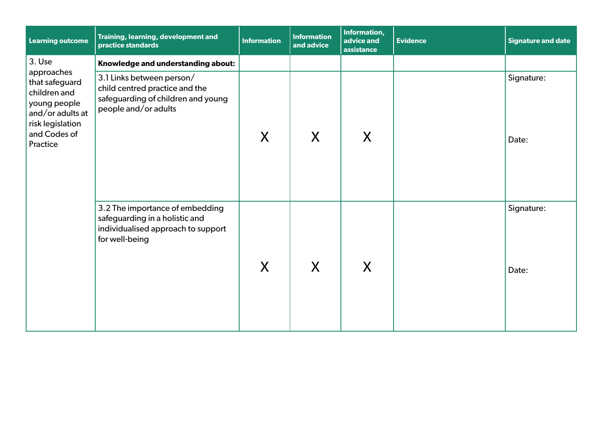| <b>Learning outcome</b>                                                                                            | Training, learning, development and<br>practice standards                                                                 | <b>Information</b> | <b>Information</b><br>and advice | Information,<br>advice and<br>assistance | <b>Evidence</b> | Signature and date  |
|--------------------------------------------------------------------------------------------------------------------|---------------------------------------------------------------------------------------------------------------------------|--------------------|----------------------------------|------------------------------------------|-----------------|---------------------|
| 3. Use<br>approaches                                                                                               | Knowledge and understanding about:                                                                                        |                    |                                  |                                          |                 |                     |
| that safeguard<br>children and<br>young people<br>and/or adults at<br>risk legislation<br>and Codes of<br>Practice | 3.1 Links between person/<br>child centred practice and the<br>safeguarding of children and young<br>people and/or adults | X                  | X                                | X                                        |                 | Signature:<br>Date: |
|                                                                                                                    | 3.2 The importance of embedding<br>safeguarding in a holistic and<br>individualised approach to support<br>for well-being | X                  | X                                | X                                        |                 | Signature:<br>Date: |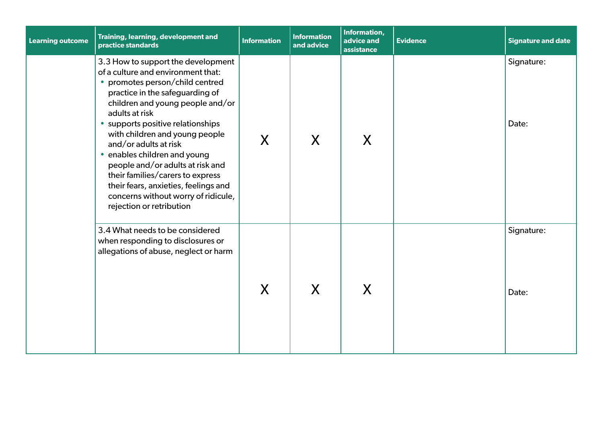| <b>Learning outcome</b> | Training, learning, development and<br>practice standards                                                                                                                                                                                                                                                                                                                                                                                                                                                               | <b>Information</b> | <b>Information</b><br>and advice | Information,<br>advice and<br>assistance | <b>Evidence</b> | Signature and date  |
|-------------------------|-------------------------------------------------------------------------------------------------------------------------------------------------------------------------------------------------------------------------------------------------------------------------------------------------------------------------------------------------------------------------------------------------------------------------------------------------------------------------------------------------------------------------|--------------------|----------------------------------|------------------------------------------|-----------------|---------------------|
|                         | 3.3 How to support the development<br>of a culture and environment that:<br>• promotes person/child centred<br>practice in the safeguarding of<br>children and young people and/or<br>adults at risk<br>• supports positive relationships<br>with children and young people<br>and/or adults at risk<br>• enables children and young<br>people and/or adults at risk and<br>their families/carers to express<br>their fears, anxieties, feelings and<br>concerns without worry of ridicule,<br>rejection or retribution | X                  | X                                | X                                        |                 | Signature:<br>Date: |
|                         | 3.4 What needs to be considered<br>when responding to disclosures or<br>allegations of abuse, neglect or harm                                                                                                                                                                                                                                                                                                                                                                                                           | X                  | X                                | X                                        |                 | Signature:<br>Date: |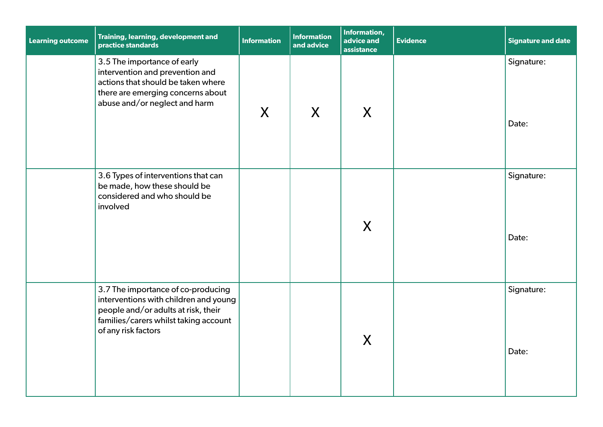| <b>Learning outcome</b> | <b>Training, learning, development and</b><br>practice standards                                                                                                                   | <b>Information</b> | <b>Information</b><br>and advice | Information,<br>advice and<br>assistance | <b>Evidence</b> | <b>Signature and date</b> |
|-------------------------|------------------------------------------------------------------------------------------------------------------------------------------------------------------------------------|--------------------|----------------------------------|------------------------------------------|-----------------|---------------------------|
|                         | 3.5 The importance of early<br>intervention and prevention and<br>actions that should be taken where<br>there are emerging concerns about<br>abuse and/or neglect and harm         | X                  | $\mathsf{X}$                     | X                                        |                 | Signature:<br>Date:       |
|                         | 3.6 Types of interventions that can<br>be made, how these should be<br>considered and who should be<br>involved                                                                    |                    |                                  | X                                        |                 | Signature:<br>Date:       |
|                         | 3.7 The importance of co-producing<br>interventions with children and young<br>people and/or adults at risk, their<br>families/carers whilst taking account<br>of any risk factors |                    |                                  | X                                        |                 | Signature:<br>Date:       |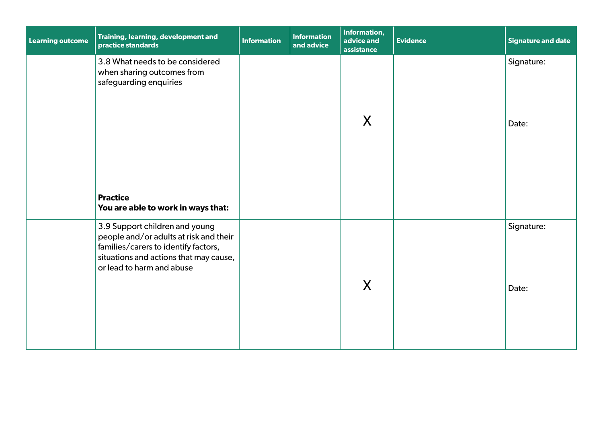| <b>Learning outcome</b> | Training, learning, development and<br>practice standards                                                                                                                               | <b>Information</b> | <b>Information</b><br>and advice | Information,<br>advice and<br>assistance | <b>Evidence</b> | <b>Signature and date</b> |
|-------------------------|-----------------------------------------------------------------------------------------------------------------------------------------------------------------------------------------|--------------------|----------------------------------|------------------------------------------|-----------------|---------------------------|
|                         | 3.8 What needs to be considered<br>when sharing outcomes from<br>safeguarding enquiries                                                                                                 |                    |                                  | X                                        |                 | Signature:<br>Date:       |
|                         | <b>Practice</b><br>You are able to work in ways that:                                                                                                                                   |                    |                                  |                                          |                 |                           |
|                         | 3.9 Support children and young<br>people and/or adults at risk and their<br>families/carers to identify factors,<br>situations and actions that may cause,<br>or lead to harm and abuse |                    |                                  | X                                        |                 | Signature:<br>Date:       |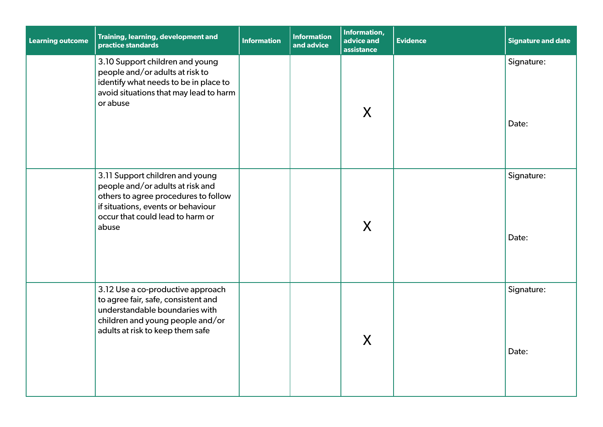| <b>Learning outcome</b> | Training, learning, development and<br>practice standards                                                                                                                                      | <b>Information</b> | <b>Information</b><br>and advice | Information,<br>advice and<br>assistance | <b>Evidence</b> | <b>Signature and date</b> |
|-------------------------|------------------------------------------------------------------------------------------------------------------------------------------------------------------------------------------------|--------------------|----------------------------------|------------------------------------------|-----------------|---------------------------|
|                         | 3.10 Support children and young<br>people and/or adults at risk to<br>identify what needs to be in place to<br>avoid situations that may lead to harm<br>or abuse                              |                    |                                  | X                                        |                 | Signature:<br>Date:       |
|                         | 3.11 Support children and young<br>people and/or adults at risk and<br>others to agree procedures to follow<br>if situations, events or behaviour<br>occur that could lead to harm or<br>abuse |                    |                                  | X                                        |                 | Signature:<br>Date:       |
|                         | 3.12 Use a co-productive approach<br>to agree fair, safe, consistent and<br>understandable boundaries with<br>children and young people and/or<br>adults at risk to keep them safe             |                    |                                  | X                                        |                 | Signature:<br>Date:       |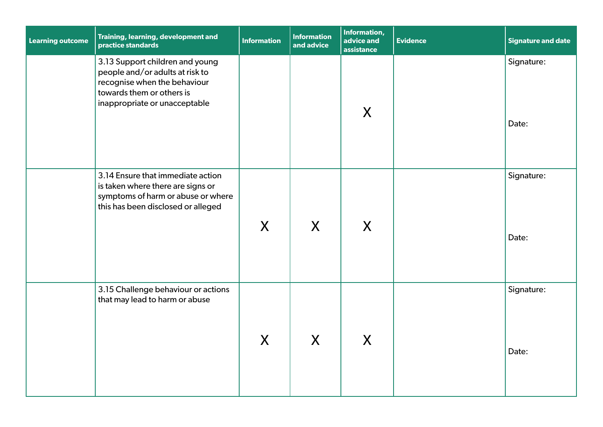| <b>Learning outcome</b> | Training, learning, development and<br>practice standards                                                                                                        | <b>Information</b> | <b>Information</b><br>and advice | Information,<br>advice and<br>assistance | <b>Evidence</b> | Signature and date  |
|-------------------------|------------------------------------------------------------------------------------------------------------------------------------------------------------------|--------------------|----------------------------------|------------------------------------------|-----------------|---------------------|
|                         | 3.13 Support children and young<br>people and/or adults at risk to<br>recognise when the behaviour<br>towards them or others is<br>inappropriate or unacceptable |                    |                                  | X                                        |                 | Signature:<br>Date: |
|                         | 3.14 Ensure that immediate action<br>is taken where there are signs or<br>symptoms of harm or abuse or where<br>this has been disclosed or alleged               | X                  | $\mathsf{X}$                     | X                                        |                 | Signature:<br>Date: |
|                         | 3.15 Challenge behaviour or actions<br>that may lead to harm or abuse                                                                                            | X                  | X                                | X                                        |                 | Signature:<br>Date: |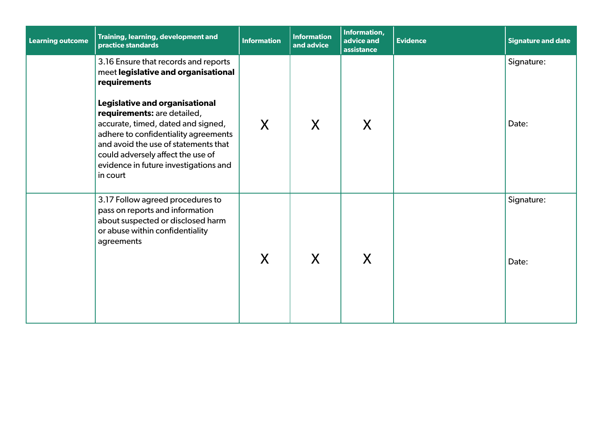| <b>Learning outcome</b> | Training, learning, development and<br>practice standards                                                                                                                                                                                                                                                                                                                    | <b>Information</b> | <b>Information</b><br>and advice | Information,<br>advice and<br>assistance | <b>Evidence</b> | <b>Signature and date</b> |
|-------------------------|------------------------------------------------------------------------------------------------------------------------------------------------------------------------------------------------------------------------------------------------------------------------------------------------------------------------------------------------------------------------------|--------------------|----------------------------------|------------------------------------------|-----------------|---------------------------|
|                         | 3.16 Ensure that records and reports<br>meet legislative and organisational<br>requirements<br>Legislative and organisational<br>requirements: are detailed,<br>accurate, timed, dated and signed,<br>adhere to confidentiality agreements<br>and avoid the use of statements that<br>could adversely affect the use of<br>evidence in future investigations and<br>in court | X                  | X                                | X                                        |                 | Signature:<br>Date:       |
|                         | 3.17 Follow agreed procedures to<br>pass on reports and information<br>about suspected or disclosed harm<br>or abuse within confidentiality<br>agreements                                                                                                                                                                                                                    | X                  | X                                | X                                        |                 | Signature:<br>Date:       |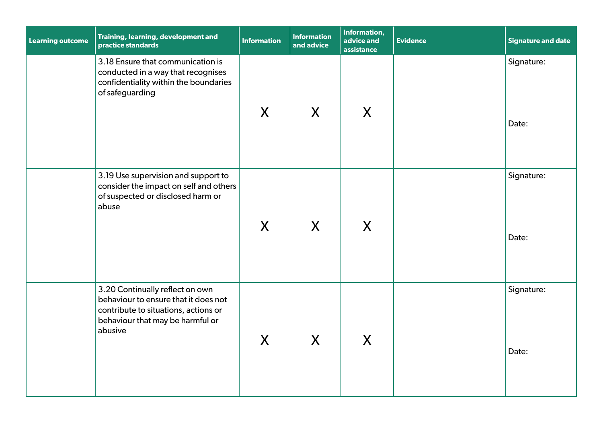| <b>Learning outcome</b> | Training, learning, development and<br>practice standards                                                                                                      | <b>Information</b> | <b>Information</b><br>and advice | Information,<br>advice and<br>assistance | <b>Evidence</b> | <b>Signature and date</b> |
|-------------------------|----------------------------------------------------------------------------------------------------------------------------------------------------------------|--------------------|----------------------------------|------------------------------------------|-----------------|---------------------------|
|                         | 3.18 Ensure that communication is<br>conducted in a way that recognises<br>confidentiality within the boundaries<br>of safeguarding                            | X                  | X                                | X                                        |                 | Signature:<br>Date:       |
|                         |                                                                                                                                                                |                    |                                  |                                          |                 |                           |
|                         | 3.19 Use supervision and support to<br>consider the impact on self and others<br>of suspected or disclosed harm or<br>abuse                                    | X                  | $\mathsf{X}$                     | X                                        |                 | Signature:<br>Date:       |
|                         | 3.20 Continually reflect on own<br>behaviour to ensure that it does not<br>contribute to situations, actions or<br>behaviour that may be harmful or<br>abusive | X                  | X                                | $\mathsf{X}$                             |                 | Signature:<br>Date:       |